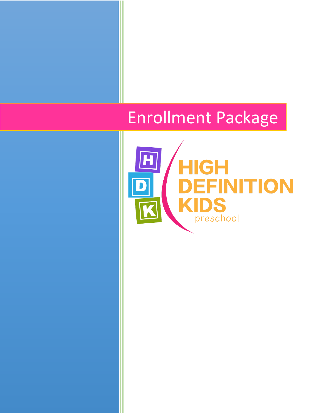# Enrollment Package

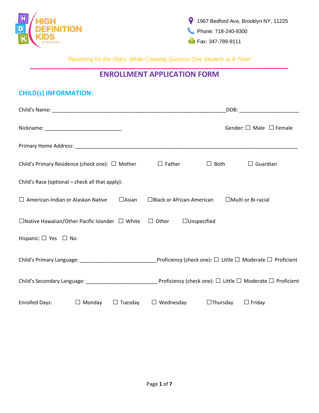

## **ENROLLMENT APPLICATION FORM**

# **CHILD(s) INFORMATION:**

|                                                                         | DOB: the contract of the contract of the contract of the contract of the contract of the contract of the contract of the contract of the contract of the contract of the contract of the contract of the contract of the contr |
|-------------------------------------------------------------------------|--------------------------------------------------------------------------------------------------------------------------------------------------------------------------------------------------------------------------------|
|                                                                         | Gender: $\square$ Male $\square$ Female                                                                                                                                                                                        |
|                                                                         |                                                                                                                                                                                                                                |
| Child's Primary Residence (check one): $\Box$ Mother                    | $\Box$ Father<br>$\Box$ Both<br>$\Box$ Guardian                                                                                                                                                                                |
| Child's Race (optional – check all that apply):                         |                                                                                                                                                                                                                                |
| $\Box$ American-Indian or Alaskan Native<br>$\Box$ Asian                | $\Box$ Black or African-American<br>$\Box$ Multi or Bi-racial                                                                                                                                                                  |
| $\Box$ Native Hawaiian/Other Pacific Islander $\Box$ White $\Box$ Other | $\Box$ Unspecified                                                                                                                                                                                                             |
| Hispanic: $\square$ Yes $\square$ No                                    |                                                                                                                                                                                                                                |
|                                                                         | Child's Primary Language: ___________________________________Proficiency (check one): $\Box$ Little $\Box$ Moderate $\Box$ Proficient                                                                                          |
|                                                                         |                                                                                                                                                                                                                                |
| $\Box$ Monday<br>$\Box$ Tuesday<br><b>Enrolled Days:</b>                | $\Box$ Wednesday<br>$\Box$ Thursday<br>$\Box$ Friday                                                                                                                                                                           |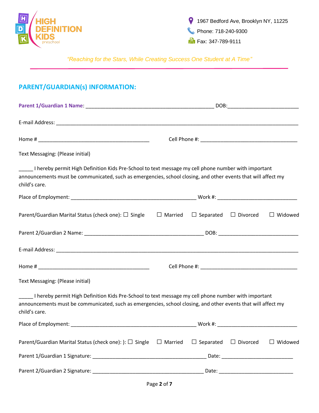

# **PARENT/GUARDIAN(s) INFORMATION:**

| Text Messaging: (Please initial)                                                                                                                                                                                                      |                |                                  |                |
|---------------------------------------------------------------------------------------------------------------------------------------------------------------------------------------------------------------------------------------|----------------|----------------------------------|----------------|
| I hereby permit High Definition Kids Pre-School to text message my cell phone number with important<br>announcements must be communicated, such as emergencies, school closing, and other events that will affect my<br>child's care. |                |                                  |                |
|                                                                                                                                                                                                                                       |                |                                  |                |
| Parent/Guardian Marital Status (check one): $\square$ Single                                                                                                                                                                          | $\Box$ Married | $\Box$ Separated $\Box$ Divorced | $\Box$ Widowed |
|                                                                                                                                                                                                                                       |                |                                  |                |
|                                                                                                                                                                                                                                       |                |                                  |                |
|                                                                                                                                                                                                                                       |                |                                  |                |
| Text Messaging: (Please initial)                                                                                                                                                                                                      |                |                                  |                |
| I hereby permit High Definition Kids Pre-School to text message my cell phone number with important<br>announcements must be communicated, such as emergencies, school closing, and other events that will affect my<br>child's care. |                |                                  |                |
|                                                                                                                                                                                                                                       |                |                                  |                |
| Parent/Guardian Marital Status (check one): $\Box$ Single $\Box$ Married                                                                                                                                                              |                | $\Box$ Separated $\Box$ Divorced | $\Box$ Widowed |
|                                                                                                                                                                                                                                       |                |                                  |                |
|                                                                                                                                                                                                                                       |                |                                  |                |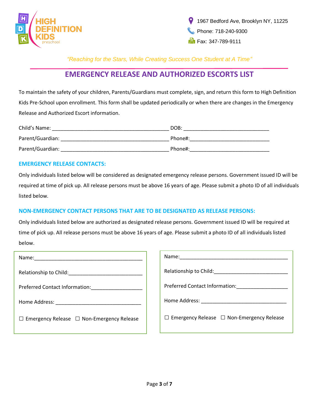



## **EMERGENCY RELEASE AND AUTHORIZED ESCORTS LIST**

To maintain the safety of your children, Parents/Guardians must complete, sign, and return this form to High Definition Kids Pre-School upon enrollment. This form shall be updated periodically or when there are changes in the Emergency Release and Authorized Escort information.

| Child's Name:    | DOB:    |
|------------------|---------|
| Parent/Guardian: | Phone#: |
| Parent/Guardian: | Phone#: |

#### **EMERGENCY RELEASE CONTACTS:**

Only individuals listed below will be considered as designated emergency release persons. Government issued ID will be required at time of pick up. All release persons must be above 16 years of age. Please submit a photo ID of all individuals listed below.

### **NON-EMERGENCY CONTACT PERSONS THAT ARE TO BE DESIGNATED AS RELEASE PERSONS:**

Only individuals listed below are authorized as designated release persons. Government issued ID will be required at time of pick up. All release persons must be above 16 years of age. Please submit a photo ID of all individuals listed below.

| Name:                                                 |
|-------------------------------------------------------|
| Relationship to Child:                                |
| Preferred Contact Information:                        |
| Home Address: ______________                          |
| $\Box$ Emergency Release $\Box$ Non-Emergency Release |
|                                                       |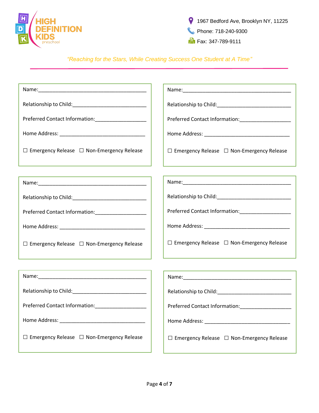

| Preferred Contact Information:______________________  |                                                                                                                  |
|-------------------------------------------------------|------------------------------------------------------------------------------------------------------------------|
|                                                       |                                                                                                                  |
| $\Box$ Emergency Release $\Box$ Non-Emergency Release | $\Box$ Emergency Release $\Box$ Non-Emergency Release                                                            |
|                                                       |                                                                                                                  |
|                                                       |                                                                                                                  |
|                                                       |                                                                                                                  |
| Preferred Contact Information:_______________________ |                                                                                                                  |
|                                                       |                                                                                                                  |
| $\Box$ Emergency Release $\Box$ Non-Emergency Release | $\Box$ Emergency Release $\Box$ Non-Emergency Release                                                            |
|                                                       | and the control of the control of the control of the control of the control of the control of the control of the |
|                                                       |                                                                                                                  |
|                                                       |                                                                                                                  |
| Preferred Contact Information:_______________________ | Preferred Contact Information: _______________________                                                           |
|                                                       |                                                                                                                  |
| $\Box$ Emergency Release $\Box$ Non-Emergency Release | $\Box$ Emergency Release $\Box$ Non-Emergency Release                                                            |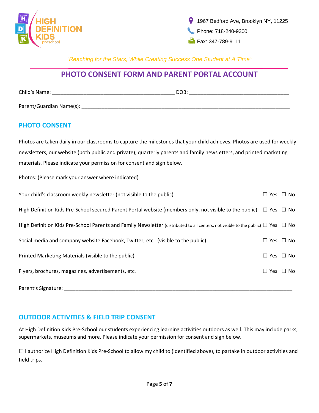

## **PHOTO CONSENT FORM AND PARENT PORTAL ACCOUNT**

| Child's Name:            | DOB: |  |
|--------------------------|------|--|
| Parent/Guardian Name(s): |      |  |

## **PHOTO CONSENT**

Photos are taken daily in our classrooms to capture the milestones that your child achieves. Photos are used for weekly newsletters, our website (both public and private), quarterly parents and family newsletters, and printed marketing materials. Please indicate your permission for consent and sign below.

Photos: (Please mark your answer where indicated)

| Your child's classroom weekly newsletter (not visible to the public)                                                                       |  | $\Box$ Yes $\Box$ No |
|--------------------------------------------------------------------------------------------------------------------------------------------|--|----------------------|
| High Definition Kids Pre-School secured Parent Portal website (members only, not visible to the public) $\Box$ Yes $\Box$ No               |  |                      |
| High Definition Kids Pre-School Parents and Family Newsletter (distributed to all centers, not visible to the public) $\Box$ Yes $\Box$ No |  |                      |
| Social media and company website Facebook, Twitter, etc. (visible to the public)                                                           |  | $\Box$ Yes $\Box$ No |
| Printed Marketing Materials (visible to the public)                                                                                        |  | $\Box$ Yes $\Box$ No |
| Flyers, brochures, magazines, advertisements, etc.                                                                                         |  | $\Box$ Yes $\Box$ No |
|                                                                                                                                            |  |                      |

Parent's Signature: **Example 2018** 

## **OUTDOOR ACTIVITIES & FIELD TRIP CONSENT**

At High Definition Kids Pre-School our students experiencing learning activities outdoors as well. This may include parks, supermarkets, museums and more. Please indicate your permission for consent and sign below.

 $\square$  I authorize High Definition Kids Pre-School to allow my child to (identified above), to partake in outdoor activities and field trips.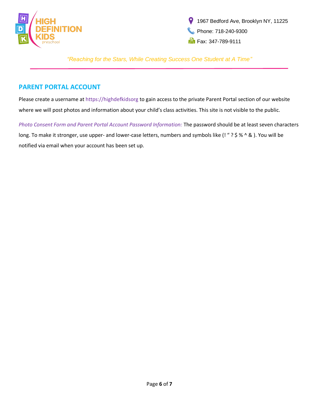

1967 Bedford Ave, Brooklyn NY, 11225 Phone: 718-240-9300  $\frac{1}{2}$  Fax: 347-789-9111

*"Reaching for the Stars, While Creating Success One Student at A Time"*

## **PARENT PORTAL ACCOUNT**

Please create a username at https://highdefkidsorg to gain access to the private Parent Portal section of our website where we will post photos and information about your child's class activities. This site is not visible to the public.

*Photo Consent Form and Parent Portal Account Password Information:* The password should be at least seven characters long. To make it stronger, use upper- and lower-case letters, numbers and symbols like (! " ? \$ % ^ & ). You will be notified via email when your account has been set up.